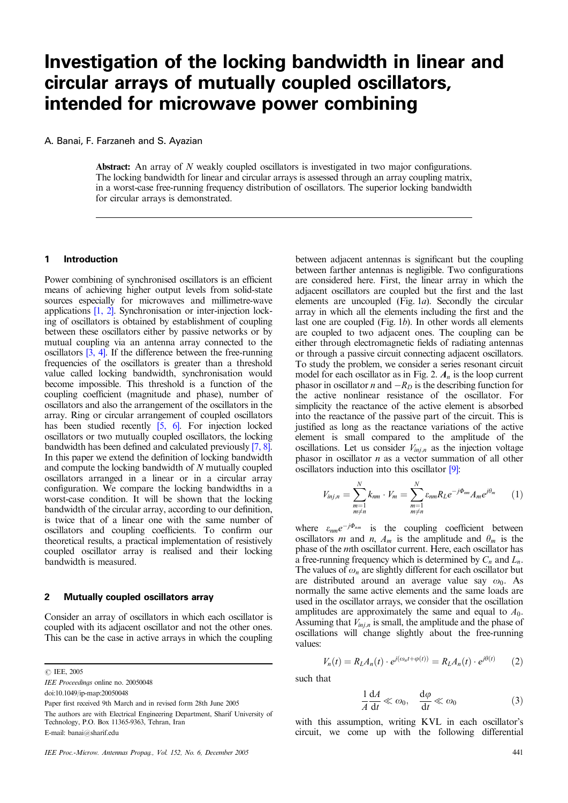# **Investigation of the locking bandwidth in linear and circular arrays of mutually coupled oscillators, intended for microwave power combining**

A. Banai, F. Farzaneh and S. Ayazian

Abstract: An array of N weakly coupled oscillators is investigated in two major configurations. The locking bandwidth for linear and circular arrays is assessed through an array coupling matrix, in a worst-case free-running frequency distribution of oscillators. The superior locking bandwidth for circular arrays is demonstrated.

## **1 Introduction**

Power combining of synchronised oscillators is an efficient means of achieving higher output levels from solid-state sources especially for microwaves and millimetre-wave applications [1, 2]. Synchronisation or inter-injection locking of oscillators is obtained by establishment of coupling between these oscillators either by passive networks or by mutual coupling via an antenna array connected to the oscillators [3, 4]. If the difference between the free-running frequencies of the oscillators is greater than a threshold value called locking bandwidth, synchronisation would become impossible. This threshold is a function of the coupling coefficient (magnitude and phase), number of oscillators and also the arrangement of the oscillators in the array. Ring or circular arrangement of coupled oscillators has been studied recently [5, 6]. For injection locked oscillators or two mutually coupled oscillators, the locking bandwidth has been defined and calculated previously [7, 8]. In this paper we extend the definition of locking bandwidth and compute the locking bandwidth of N mutually coupled oscillators arranged in a linear or in a circular array configuration. We compare the locking bandwidths in a worst-case condition. It will be shown that the locking bandwidth of the circular array, according to our definition, is twice that of a linear one with the same number of oscillators and coupling coefficients. To confirm our theoretical results, a practical implementation of resistively coupled oscillator array is realised and their locking bandwidth is measured.

#### **2 Mutually coupled oscillators array**

Consider an array of oscillators in which each oscillator is coupled with its adjacent oscillator and not the other ones. This can be the case in active arrays in which the coupling

 $C$  IEE, 2005

doi:10.1049/ip-map:20050048

E-mail: banai@sharif.edu

between adjacent antennas is significant but the coupling between farther antennas is negligible. Two configurations are considered here. First, the linear array in which the adjacent oscillators are coupled but the first and the last elements are uncoupled (Fig. 1a). Secondly the circular array in which all the elements including the first and the last one are coupled (Fig.  $1b$ ). In other words all elements are coupled to two adjacent ones. The coupling can be either through electromagnetic fields of radiating antennas or through a passive circuit connecting adjacent oscillators. To study the problem, we consider a series resonant circuit model for each oscillator as in Fig. 2.  $A_n$  is the loop current phasor in oscillator *n* and  $-R_D$  is the describing function for the active nonlinear resistance of the oscillator. For simplicity the reactance of the active element is absorbed into the reactance of the passive part of the circuit. This is justified as long as the reactance variations of the active element is small compared to the amplitude of the oscillations. Let us consider  $V_{inj,n}$  as the injection voltage phasor in oscillator  $n$  as a vector summation of all other oscillators induction into this oscillator [9]:

$$
V_{inj,n} = \sum_{\substack{m=1 \ m \neq n}}^{N} k_{nm} \cdot V_m = \sum_{\substack{m=1 \ m \neq n}}^{N} \varepsilon_{nm} R_L e^{-j\Phi_{nm}} A_m e^{j\theta_m} \qquad (1)
$$

where  $\varepsilon_{nm}e^{-j\Phi_{nm}}$  is the coupling coefficient between oscillators *m* and *n*,  $A_m$  is the amplitude and  $\theta_m$  is the phase of the mth oscillator current. Here, each oscillator has a free-running frequency which is determined by *Cn* and *Ln*. The values of  $\omega_n$  are slightly different for each oscillator but are distributed around an average value say  $\omega_0$ . As normally the same active elements and the same loads are used in the oscillator arrays, we consider that the oscillation amplitudes are approximately the same and equal to  $A_0$ . Assuming that  $V_{i,j,n}$  is small, the amplitude and the phase of oscillations will change slightly about the free-running values:

$$
V_n(t) = R_L A_n(t) \cdot e^{j(\omega_n t + \varphi(t))} = R_L A_n(t) \cdot e^{j\theta(t)} \tag{2}
$$

such that

$$
\frac{1}{A}\frac{dA}{dt} \ll \omega_0, \quad \frac{d\varphi}{dt} \ll \omega_0 \tag{3}
$$

with this assumption, writing KVL in each oscillator's circuit, we come up with the following differential

IEE Proceedings online no. 20050048

Paper first received 9th March and in revised form 28th June 2005

The authors are with Electrical Engineering Department, Sharif University of Technology, P.O. Box 11365-9363, Tehran, Iran

IEE Proc.-Microw. Antennas Propag., Vol. 152, No. 6, December 2005 441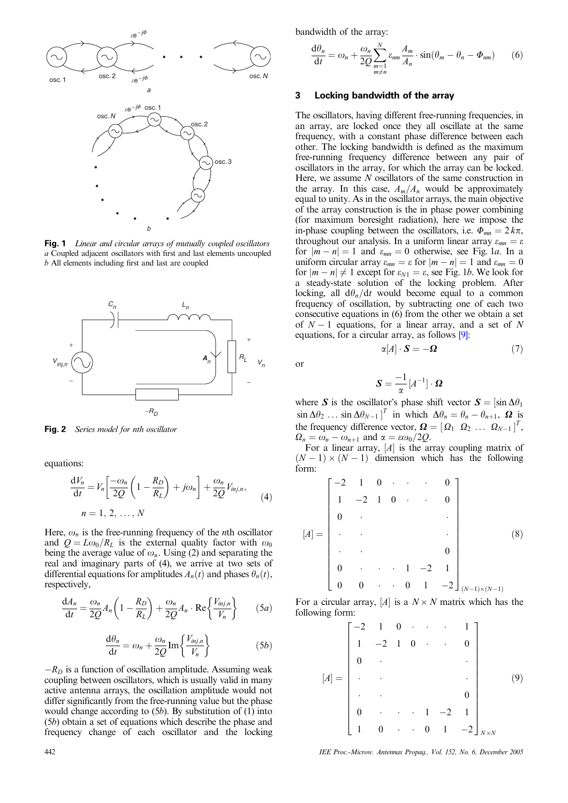

**Fig. 1** Linear and circular arrays of mutually coupled oscillators a Coupled adjacent oscillators with first and last elements uncoupled b All elements including first and last are coupled



**Fig. 2** Series model for nth oscillator

equations:

$$
\frac{dV_n}{dt} = V_n \left[ \frac{-\omega_n}{2Q} \left( 1 - \frac{R_D}{R_L} \right) + j\omega_n \right] + \frac{\omega_n}{2Q} V_{inj,n},
$$
\n
$$
n = 1, 2, ..., N
$$
\n(4)

Here,  $\omega_n$  is the free-running frequency of the *n*th oscillator and  $Q = L\omega_0/R_L$  is the external quality factor with  $\omega_0$ being the average value of  $\omega_n$ . Using (2) and separating the real and imaginary parts of (4), we arrive at two sets of differential equations for amplitudes  $A_n(t)$  and phases  $\theta_n(t)$ , respectively,

$$
\frac{dA_n}{dt} = \frac{\omega_n}{2Q} A_n \left( 1 - \frac{R_D}{R_L} \right) + \frac{\omega_n}{2Q} A_n \cdot \text{Re} \left\{ \frac{V_{inj,n}}{V_n} \right\} \tag{5a}
$$

$$
\frac{d\theta_n}{dt} = \omega_n + \frac{\omega_n}{2Q} \text{Im} \left\{ \frac{V_{inj,n}}{V_n} \right\} \tag{5b}
$$

 $-R_D$  is a function of oscillation amplitude. Assuming weak coupling between oscillators, which is usually valid in many active antenna arrays, the oscillation amplitude would not differ significantly from the free-running value but the phase would change according to  $(5b)$ . By substitution of  $(1)$  into (5b) obtain a set of equations which describe the phase and frequency change of each oscillator and the locking

bandwidth of the array:

$$
\frac{d\theta_n}{dt} = \omega_n + \frac{\omega_n}{2Q} \sum_{\substack{m=1 \ m \neq n}}^N \varepsilon_{nm} \frac{A_m}{A_n} \cdot \sin(\theta_m - \theta_n - \Phi_{nm}) \tag{6}
$$

### **3 Locking bandwidth of the array**

The oscillators, having different free-running frequencies, in an array, are locked once they all oscillate at the same frequency, with a constant phase difference between each other. The locking bandwidth is defined as the maximum free-running frequency difference between any pair of oscillators in the array, for which the array can be locked. Here, we assume N oscillators of the same construction in the array. In this case,  $A_m/A_n$  would be approximately equal to unity. As in the oscillator arrays, the main objective of the array construction is the in phase power combining (for maximum boresight radiation), here we impose the in-phase coupling between the oscillators, i.e.  $\Phi_{mn} = 2 k \pi$ , throughout our analysis. In a uniform linear array  $\varepsilon_{mn} = \varepsilon$ for  $|m - n| = 1$  and  $\varepsilon_{mn} = 0$  otherwise, see Fig. 1a. In a uniform circular array  $\varepsilon_{mn} = \varepsilon$  for  $|m - n| = 1$  and  $\varepsilon_{mn} = 0$ for  $|m - n| \neq 1$  except for  $\varepsilon_{N1} = \varepsilon$ , see Fig. 1*b*. We look for a steady-state solution of the locking problem. After locking, all  $d\theta_n/dt$  would become equal to a common frequency of oscillation, by subtracting one of each two consecutive equations in (6) from the other we obtain a set of  $N-1$  equations, for a linear array, and a set of N equations, for a circular array, as follows [9]:

or

$$
\boldsymbol{S} = \frac{-1}{\alpha} \left[ A^{-1} \right] \cdot \boldsymbol{\Omega}
$$

 $\alpha[A] \cdot \mathbf{S} = -\mathbf{\Omega}$  (7)

where S is the oscillator's phase shift vector  $S = [\sin \Delta \theta_1]$  $\sin \Delta \theta_2$  ...  $\sin \Delta \theta_{N-1}$ <sup>*T*</sup> in which  $\Delta \theta_n = \theta_n - \theta_{n+1}$ ,  $\Omega$  is the frequency difference vector,  $\boldsymbol{\Omega} = [\Omega_1 \ \Omega_2 \ \dots \ \Omega_{N-1}]^T$ ,  $\Omega_n = \omega_n - \omega_{n+1}$  and  $\alpha = \varepsilon \omega_0/2Q$ .

For a linear array,  $[A]$  is the array coupling matrix of  $(N - 1) \times (N - 1)$  dimension which has the following form:

$$
[A] = \begin{bmatrix} -2 & 1 & 0 & \cdots & 0 \\ 1 & -2 & 1 & 0 & \cdots & 0 \\ 0 & \ddots & & & & \\ \ddots & & & & & 0 \\ 0 & \cdots & 1 & -2 & 1 \\ 0 & 0 & \cdots & 0 & 1 & -2 \end{bmatrix}_{(N-1)\times(N-1)}
$$
(8)

For a circular array,  $[A]$  is a  $N \times N$  matrix which has the following form:

$$
[A] = \begin{bmatrix} -2 & 1 & 0 & \cdots & \cdots & 1 \\ 1 & -2 & 1 & 0 & \cdots & 0 \\ 0 & \ddots & & & & \vdots \\ \vdots & & & & & \vdots \\ 0 & \cdots & \cdots & 1 & -2 & 1 \\ 1 & 0 & \cdots & 0 & 1 & -2 \end{bmatrix}_{N \times N}
$$
(9)

442 IEE Proc.-Microw. Antennas Propag., Vol. 152, No. 6, December 2005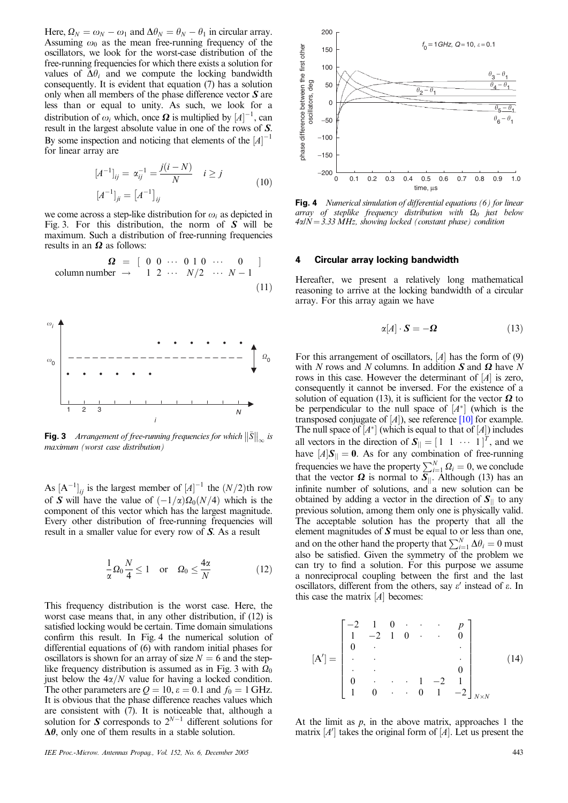Here,  $\Omega_N = \omega_N - \omega_1$  and  $\Delta \theta_N = \theta_N - \theta_1$  in circular array. Assuming  $\omega_0$  as the mean free-running frequency of the oscillators, we look for the worst-case distribution of the free-running frequencies for which there exists a solution for values of  $\Delta\theta_i$  and we compute the locking bandwidth consequently. It is evident that equation (7) has a solution only when all members of the phase difference vector  $S$  are less than or equal to unity. As such, we look for a distribution of  $\omega_i$  which, once  $\boldsymbol{\Omega}$  is multiplied by  $\left[A\right]^{-1}$ , can result in the largest absolute value in one of the rows of S. By some inspection and noticing that elements of the  $[A]^{-1}$ for linear array are

$$
[A^{-1}]_{ij} = \alpha_{ij}^{-1} = \frac{j(i - N)}{N} \quad i \ge j
$$
  

$$
[A^{-1}]_{ji} = [A^{-1}]_{ij}
$$
 (10)

we come across a step-like distribution for  $\omega_i$  as depicted in Fig. 3. For this distribution, the norm of  $S$  will be maximum. Such a distribution of free-running frequencies results in an  $\Omega$  as follows:

$$
\Omega = \left[ \begin{array}{ccc} 0 & 0 & \cdots & 0 & 1 & 0 & \cdots & 0 \\ 0 & 0 & \cdots & 0 & 1 & 0 & \cdots & 0 \\ 0 & 1 & 2 & \cdots & N/2 & \cdots & N-1 \end{array} \right]
$$
\n(11)



**Fig. 3** Arrangement of free-running frequencies for which  $\|\bar{S}\|_{\infty}$  is maximum (worst case distribution)

As  $[A^{-1}]_{ij}$  is the largest member of  $[A]^{-1}$  the  $(N/2)$ <sup>th</sup> row of S will have the value of  $\left(-\frac{1}{\alpha}\right)\Omega_0(N/4)$  which is the component of this vector which has the largest magnitude. Every other distribution of free-running frequencies will result in a smaller value for every row of S. As a result

$$
\frac{1}{\alpha} \Omega_0 \frac{N}{4} \le 1 \quad \text{or} \quad \Omega_0 \le \frac{4\alpha}{N} \tag{12}
$$

This frequency distribution is the worst case. Here, the worst case means that, in any other distribution, if (12) is satisfied locking would be certain. Time domain simulations confirm this result. In Fig. 4 the numerical solution of differential equations of (6) with random initial phases for oscillators is shown for an array of size  $N = 6$  and the steplike frequency distribution is assumed as in Fig. 3 with  $\Omega_0$ just below the  $4\alpha/N$  value for having a locked condition. The other parameters are  $Q = 10$ ,  $\varepsilon = 0.1$  and  $f_0 = 1$  GHz. It is obvious that the phase difference reaches values which are consistent with  $(7)$ . It is noticeable that, although a solution for S corresponds to  $2^{N-1}$  different solutions for  $\Delta\theta$ , only one of them results in a stable solution.



**Fig. 4** Numerical simulation of differential equations (6) for linear array of steplike frequency distribution with  $\Omega_0$  just below  $4\alpha/N = 3.33 MHz$ , showing locked (constant phase) condition

#### **4 Circular array locking bandwidth**

Hereafter, we present a relatively long mathematical reasoning to arrive at the locking bandwidth of a circular array. For this array again we have

$$
\alpha[A] \cdot \mathbf{S} = -\mathbf{\Omega} \tag{13}
$$

For this arrangement of oscillators,  $[A]$  has the form of  $(9)$ with N rows and N columns. In addition  $S$  and  $\Omega$  have N rows in this case. However the determinant of  $[A]$  is zero, consequently it cannot be inversed. For the existence of a solution of equation (13), it is sufficient for the vector  $\Omega$  to be perpendicular to the null space of  $[A^*]$  (which is the transposed conjugate of  $[A]$ ), see reference  $[10]$  for example. The null space of  $[A^*]$  (which is equal to that of  $[A]$ ) includes all vectors in the direction of  $S_{\parallel} = \begin{bmatrix} 1 & 1 & \cdots & 1 \end{bmatrix}^T$ , and we have  $[A]S_{\parallel} = 0$ . As for any combination of free-running frequencies we have the property  $\sum_{i=1}^{N} \Omega_i = 0$ , we conclude that the vector  $\Omega$  is normal to  $S_{\parallel}$ . Although (13) has an infinite number of solutions, and a new solution can be obtained by adding a vector in the direction of  $S_{\parallel}$  to any previous solution, among them only one is physically valid. The acceptable solution has the property that all the element magnitudes of  $S$  must be equal to or less than one, and on the other hand the property that  $\sum_{i=1}^{N} \Delta \theta_i = 0$  must also be satisfied. Given the symmetry of the problem we can try to find a solution. For this purpose we assume a nonreciprocal coupling between the first and the last oscillators, different from the others, say  $\varepsilon'$  instead of  $\varepsilon$ . In this case the matrix  $[A]$  becomes:

$$
[\mathbf{A}'] = \begin{bmatrix} -2 & 1 & 0 & \cdots & \cdots & p \\ 1 & -2 & 1 & 0 & \cdots & 0 \\ 0 & \ddots & & & & \vdots \\ \vdots & \ddots & & & & \vdots \\ 0 & \cdots & \cdots & 1 & -2 & 1 \\ 1 & 0 & \cdots & 0 & 1 & -2 \end{bmatrix}_{N \times N}
$$
 (14)

At the limit as  $p$ , in the above matrix, approaches 1 the matrix  $[A']$  takes the original form of  $[A]$ . Let us present the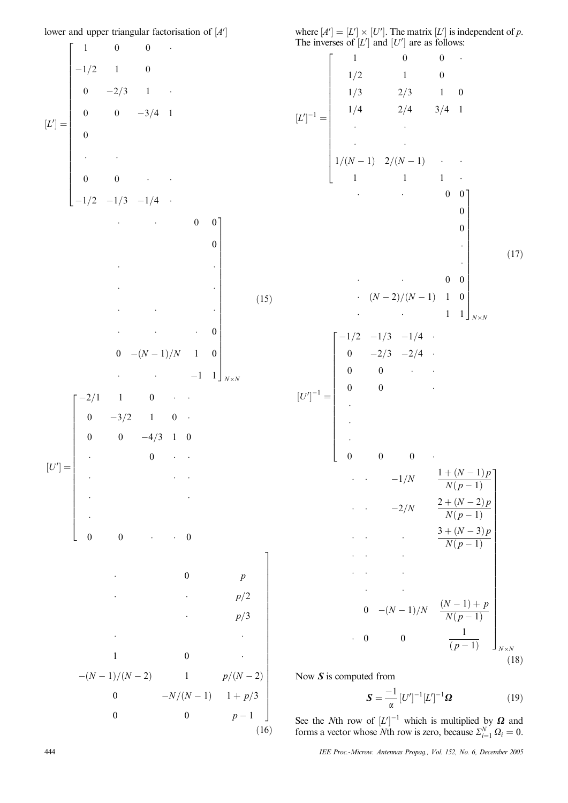lower and upper triangular factorisation of [A<sup>'</sup>]

 $[L'] =$  $1 \qquad 0 \qquad 0 \qquad \cdot$  $-1/2$  1 0 0  $-2/3$  1  $-$ 0  $-3/4$  1  $\boldsymbol{0}$  $\cdot$  -  $\cdot$  -  $\cdot$  $0 \qquad 0 \qquad \cdots$  $-1/2$   $-1/3$   $-1/4$  ·  $\overline{1}$ 6 6 6 6 6 6 6 6 6 6 6 6 6 6 6 6 6 6 6 6 6 6 6 4 - - $0 \quad 0$  $\boldsymbol{0}$ - -- --- --- - $\cdot$  0  $0 \quad -(N-1)/N \quad 1 \quad 0$ -- $-1$  1  $\overline{1}$  $\overline{1}$  $\overline{1}$  $\overline{1}$  $\overline{1}$  $\overline{1}$  $\overline{1}$  $\overline{1}$  $\overline{1}$  $\overline{1}$  $\overline{1}$  $\overline{1}$  $\overline{1}$  $\overline{1}$  $\overline{1}$  $\overline{1}$  $\overline{1}$  $\overline{1}$  $\overline{1}$  $\overline{1}$  $\overline{1}$  $\overline{1}$ *NN*  $(15)$  $[U'] =$  $-2/1$  1 0  $\cdot$  $0 \t -3/2 \t 1 \t 0$ 0 0  $-4/3$  1 0  $\cdot$  0  $\cdot$   $\cdot$ - -- - - -  $0 \qquad 0 \qquad \cdots \qquad 0$  $\overline{1}$  $\begin{bmatrix} 1 & 1 & 1 \\ 1 & 1 & 1 \\ 1 & 1 & 1 \\ 1 & 1 & 1 \\ 1 & 1 & 1 \\ 1 & 1 & 1 \\ 1 & 1 & 1 \\ 1 & 1 & 1 \\ 1 & 1 & 1 \\ 1 & 1 & 1 \\ 1 & 1 & 1 \\ 1 & 1 & 1 \\ 1 & 1 & 1 \\ 1 & 1 & 1 \\ 1 & 1 & 1 \\ 1 & 1 & 1 \\ 1 & 1 & 1 \\ 1 & 1 & 1 \\ 1 & 1 & 1 \\ 1 & 1 & 1 \\ 1 & 1 & 1 \\ 1 & 1 & 1 \\ 1 & 1 & 1 & 1 \\ 1 &$ - $\cdot$  0 *p* -  $p/2$  $p/3$ - - $1 \qquad \qquad 0 \qquad \qquad .$  $-(N-1)/(N-2)$  1 *p* $/(N-2)$ 0  $-N/(N-1)$   $1+p/3$ 0  $p-1$  $(16)$  where  $[A'] = [L'] \times [U']$ . The matrix  $[L']$  is independent of p. The inverses of  $[L']$  and  $[U']$  are as follows:

½*L*0 <sup>1</sup> ¼ 1 00 -1=2 10 1=3 2=3 10 1=4 2=4 3=4 1 - -- -1=ð*N* 1Þ 2=ð*N* 1Þ--1 11 -2 6 6 6 6 6 6 6 6 6 6 6 6 6 6 6 6 6 4 - - 0 0 0 0 --- - 0 0 ð*N* 2Þ=ð*N* 1Þ 1 0 - - 1 1 3 7 7 7 7 7 7 7 7 7 7 7 7 7 7 7 7 7 5 *NN* ð17Þ ½*U*<sup>0</sup> <sup>1</sup> ¼ 1=2 1=3 1=4 -0 2=3 2=4 -0 0 - -0 0 ----000 -2 6 6 6 6 6 6 6 6 6 6 6 6 6 6 6 6 6 4 -- 1=*N* 1 þ ð*N* 1Þ*p N*ð*p* 1Þ -- 2=*N* 2 þ ð*N* 2Þ*p N*ð*p* 1Þ -- - <sup>3</sup> þ ð*<sup>N</sup>* <sup>3</sup>Þ*<sup>p</sup> N*ð*p* 1Þ -- --- -- -<sup>0</sup> ð*<sup>N</sup>* <sup>1</sup>Þ=*<sup>N</sup>* <sup>ð</sup>*<sup>N</sup>* <sup>1</sup>Þ þ *<sup>p</sup> N*ð*p* 1Þ - 0 0 <sup>1</sup> ð*p* 1Þ 3 7 7 7 7 7 7 7 7 7 7 7 7 7 7 7 7 7 7 7 7 7 7 7 7 7 7 5 *NN* ð18Þ

Now  $S$  is computed from

 $\overline{1}$  $\overline{1}$  $\overline{1}$ 

 $\overline{1}$  $\overline{1}$  $\overline{1}$  $\overline{1}$  $\overline{1}$ 

$$
\mathbf{S} = \frac{-1}{\alpha} \left[ U' \right]^{-1} \left[ L' \right]^{-1} \mathbf{\Omega}
$$
 (19)

See the *N*th row of  $[L']^{-1}$  which is multiplied by  $\Omega$  and forms a vector whose *N*th row is zero, because  $\Sigma_{i=1}^{N} \Omega_i = 0$ .

444 IEE Proc.-Microw. Antennas Propag., Vol. 152, No. 6, December 2005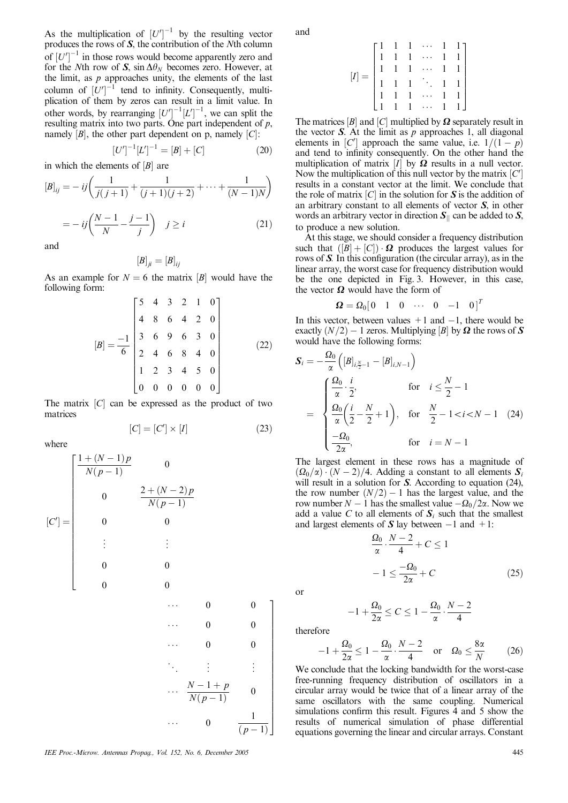As the multiplication of  $[U']^{-1}$  by the resulting vector produces the rows of S, the contribution of the Nth column of  $\left[U'\right]^{-1}$  in those rows would become apparently zero and for the Nth row of S,  $\sin \Delta \theta_N$  becomes zero. However, at the limit, as  $p$  approaches unity, the elements of the last column of  $[U']^{-1}$  tend to infinity. Consequently, multiplication of them by zeros can result in a limit value. In other words, by rearranging  $[U']^{-1}[L']^{-1}$ , we can split the resulting matrix into two parts. One part independent of  $p$ , namely  $[B]$ , the other part dependent on p, namely  $[C]$ :

$$
[U']^{-1}[L']^{-1} = [B] + [C]
$$
 (20)

in which the elements of  $[B]$  are

$$
[B]_{ij} = -ij\left(\frac{1}{j(j+1)} + \frac{1}{(j+1)(j+2)} + \dots + \frac{1}{(N-1)N}\right)
$$

$$
= -ij\left(\frac{N-1}{N} - \frac{j-1}{j}\right) \quad j \ge i \tag{21}
$$

and

$$
\left[ B\right] _{ji}=\left[ B\right] _{ij}
$$

As an example for  $N = 6$  the matrix *B* would have the following form:

$$
[B] = \frac{-1}{6} \begin{bmatrix} 5 & 4 & 3 & 2 & 1 & 0 \\ 4 & 8 & 6 & 4 & 2 & 0 \\ 3 & 6 & 9 & 6 & 3 & 0 \\ 2 & 4 & 6 & 8 & 4 & 0 \\ 1 & 2 & 3 & 4 & 5 & 0 \\ 0 & 0 & 0 & 0 & 0 & 0 \end{bmatrix}
$$
(22)

The matrix  $[C]$  can be expressed as the product of two matrices

$$
[C] = [C'] \times [I] \tag{23}
$$

where

$$
[C'] = \begin{bmatrix} \frac{1 + (N-1)p}{N(p-1)} & 0 & & & \\ & 0 & \frac{2 + (N-2)p}{N(p-1)} & & \\ & 0 & 0 & & \\ & \vdots & \vdots & & \\ 0 & 0 & & & \\ 0 & 0 & & & \\ & & \cdots & 0 & 0 \\ & & & & \cdots & 0 & 0 \\ & & & & & \ddots & \vdots & \vdots \\ & & & & & \ddots & \vdots & \vdots \\ & & & & & & \ddots & \vdots & \vdots \\ & & & & & & & \ddots & \vdots & \vdots \\ & & & & & & & & \ddots & \vdots & \vdots \\ & & & & & & & & \ddots & \vdots & \vdots \\ & & & & & & & & \ddots & \vdots & \vdots \\ & & & & & & & & & \ddots & \vdots & \vdots \\ & & & & & & & & & \ddots & \vdots & \vdots \\ & & & & & & & & & \ddots & \vdots & \vdots \\ & & & & & & & & & & \ddots & \vdots & \vdots \\ & & & & & & & & & & \ddots & \vdots & \vdots \\ & & & & & & & & & & \ddots & \vdots & \vdots \\ & & & & & & & & & & & \ddots & \vdots & \vdots \\ & & & & & & & & & & & \ddots & \vdots & \vdots \\ & & & & & & & & & & & \ddots & \vdots & \vdots \\ & & & & & & & & & & & \ddots & \vdots & \vdots \\ & & & & & & & & & & & \ddots & \vdots & \vdots \\ & & & & & & & & & & & \ddots & \vdots & \vdots \\ & & & & & & & & & & & \ddots & \vdots & \vdots \\ & & & & & & & & & & & \ddots & \vdots & \vdots \\ & & & & & & & & & & & & \ddots & \vdots & \vdots \\ & & & & & & & & & & & & \ddots & \vdots & \vdots \\ & & & & & & & & & & & & \ddots & \vdots & \vdots \\ & & & & & & & & & & & & \ddots & \vdots & \vdots \\ & & & & & & & & & & & & \ddots & \vdots & \vdots \\ & & & & & & & & & & & & \ddots & \vdots & \vdots \\ & & & & & & & & & & & & \ddots & \vdots & \vdots \\ & & & & & & & & & & & & \ddots & \vdots & \vdots \\ & & &
$$

IEE Proc.-Microw. Antennas Propag., Vol. 152, No. 6, December 2005 445

and

$$
[I]=\begin{bmatrix}1&1&1&\cdots&1&1\\1&1&1&\cdots&1&1\\1&1&1&\cdots&1&1\\1&1&1&\ddots&1&1\\1&1&1&\cdots&1&1\\1&1&1&\cdots&1&1\end{bmatrix}
$$

The matrices  $[B]$  and  $[C]$  multiplied by  $\Omega$  separately result in the vector  $S$ . At the limit as  $p$  approaches 1, all diagonal elements in [C'] approach the same value, i.e.  $1/(1-p)$ and tend to infinity consequently. On the other hand the multiplication of matrix  $[I]$  by  $\Omega$  results in a null vector. Now the multiplication of this null vector by the matrix  $[C']$ results in a constant vector at the limit. We conclude that the role of matrix  $[C]$  in the solution for S is the addition of an arbitrary constant to all elements of vector S, in other words an arbitrary vector in direction  $S_{\parallel}$  can be added to S, to produce a new solution.

At this stage, we should consider a frequency distribution such that  $([B] + [C]) \cdot \Omega$  produces the largest values for rows of S. In this configuration (the circular array), as in the linear array, the worst case for frequency distribution would be the one depicted in Fig. 3. However, in this case, the vector  $\Omega$  would have the form of

$$
\boldsymbol{\Omega} = \Omega_0 \begin{bmatrix} 0 & 1 & 0 & \cdots & 0 & -1 & 0 \end{bmatrix}^T
$$

In this vector, between values  $+1$  and  $-1$ , there would be exactly  $(N/2) - 1$  zeros. Multiplying [B] by  $\Omega$  the rows of S would have the following forms:

$$
S_{i} = -\frac{\Omega_{0}}{\alpha} \left( [B]_{i, \frac{N}{2}-1} - [B]_{i, N-1} \right)
$$
  
= 
$$
\begin{cases} \frac{\Omega_{0}}{\alpha} \cdot \frac{i}{2}, & \text{for } i \leq \frac{N}{2} - 1 \\ \frac{\Omega_{0}}{\alpha} \left( \frac{i}{2} - \frac{N}{2} + 1 \right), & \text{for } \frac{N}{2} - 1 < i < N - 1 \quad (24) \\ \frac{-\Omega_{0}}{2\alpha}, & \text{for } i = N - 1 \end{cases}
$$

The largest element in these rows has a magnitude of  $(\Omega_0/\alpha) \cdot (N-2)/4$ . Adding a constant to all elements  $S_i$ will result in a solution for S. According to equation (24), the row number  $(N/2) - 1$  has the largest value, and the row number  $N-1$  has the smallest value  $-\Omega_0/2\alpha$ . Now we add a value C to all elements of  $S_i$  such that the smallest and largest elements of  $S$  lay between  $-1$  and  $+1$ :

$$
\frac{\Omega_0}{\alpha} \cdot \frac{N-2}{4} + C \le 1
$$

$$
-1 \le \frac{-\Omega_0}{2\alpha} + C \tag{25}
$$

or

$$
-1 + \frac{\Omega_0}{2\alpha} \le C \le 1 - \frac{\Omega_0}{\alpha} \cdot \frac{N-2}{4}
$$

therefore

$$
-1 + \frac{\Omega_0}{2\alpha} \le 1 - \frac{\Omega_0}{\alpha} \cdot \frac{N-2}{4} \quad \text{or} \quad \Omega_0 \le \frac{8\alpha}{N} \tag{26}
$$

We conclude that the locking bandwidth for the worst-case free-running frequency distribution of oscillators in a circular array would be twice that of a linear array of the same oscillators with the same coupling. Numerical simulations confirm this result. Figures 4 and 5 show the results of numerical simulation of phase differential equations governing the linear and circular arrays. Constant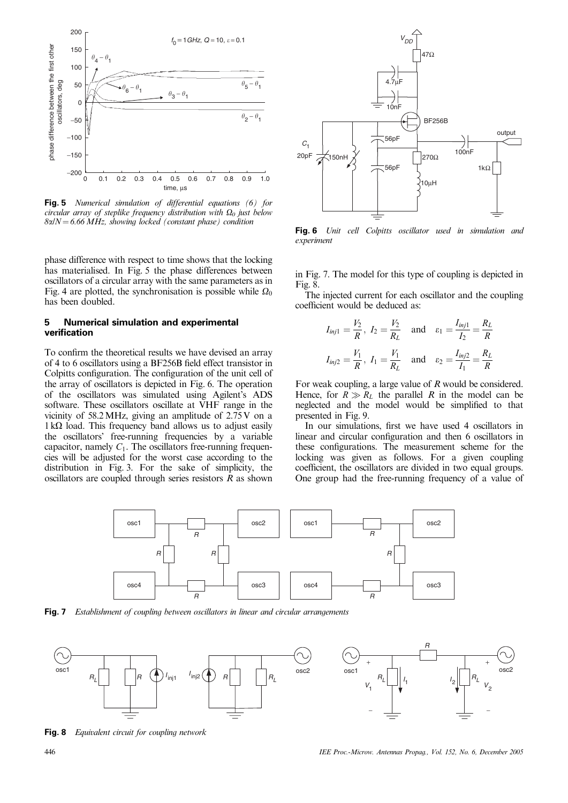

**Fig. 5** Numerical simulation of differential equations (6) for circular array of steplike frequency distribution with  $\Omega_0$  just below  $8\alpha/N = 6.66 \text{ MHz}$ , showing locked (constant phase) condition

phase difference with respect to time shows that the locking has materialised. In Fig. 5 the phase differences between oscillators of a circular array with the same parameters as in Fig. 4 are plotted, the synchronisation is possible while  $\Omega_0$ has been doubled.

## **5 Numerical simulation and experimental verification**

To confirm the theoretical results we have devised an array of 4 to 6 oscillators using a BF256B field effect transistor in Colpitts configuration. The configuration of the unit cell of the array of oscillators is depicted in Fig. 6. The operation of the oscillators was simulated using Agilent's ADS software. These oscillators oscillate at VHF range in the vicinity of 58.2MHz, giving an amplitude of 2.75 V on a  $1 \text{ k}\Omega$  load. This frequency band allows us to adjust easily the oscillators' free-running frequencies by a variable capacitor, namely  $C_1$ . The oscillators free-running frequencies will be adjusted for the worst case according to the distribution in Fig. 3. For the sake of simplicity, the oscillators are coupled through series resistors  $R$  as shown



**Fig. 6** Unit cell Colpitts oscillator used in simulation and experiment

in Fig. 7. The model for this type of coupling is depicted in Fig. 8.

The injected current for each oscillator and the coupling coefficient would be deduced as:

$$
I_{inj1} = \frac{V_2}{R}
$$
,  $I_2 = \frac{V_2}{R_L}$  and  $\varepsilon_1 = \frac{I_{inj1}}{I_2} = \frac{R_L}{R}$   
 $I_{inj2} = \frac{V_1}{R}$ ,  $I_1 = \frac{V_1}{R_L}$  and  $\varepsilon_2 = \frac{I_{inj2}}{I_1} = \frac{R_L}{R}$ 

For weak coupling, a large value of R would be considered. Hence, for  $R \gg R_L$  the parallel R in the model can be neglected and the model would be simplified to that presented in Fig. 9.

In our simulations, first we have used 4 oscillators in linear and circular configuration and then 6 oscillators in these configurations. The measurement scheme for the locking was given as follows. For a given coupling coefficient, the oscillators are divided in two equal groups. One group had the free-running frequency of a value of



**Fig. 7** Establishment of coupling between oscillators in linear and circular arrangements



**Fig. 8** Equivalent circuit for coupling network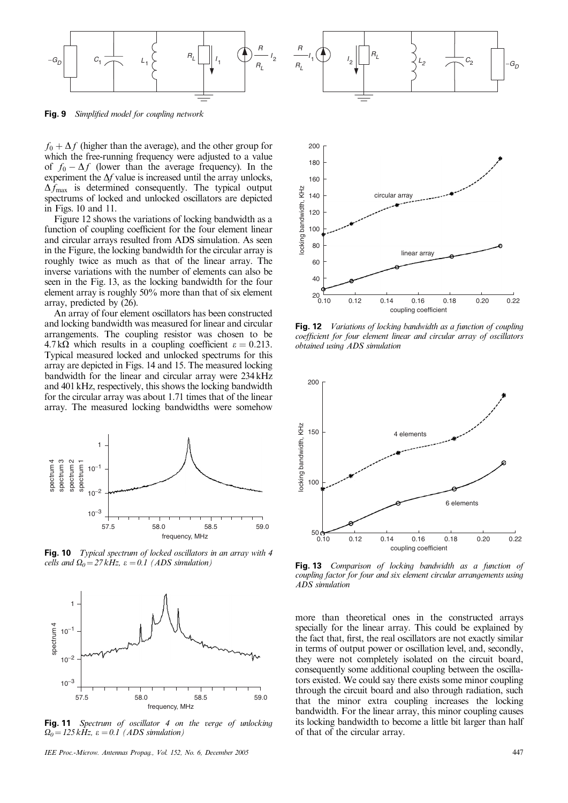

**Fig. 9** Simplified model for coupling network

 $f_0 + \Delta f$  (higher than the average), and the other group for which the free-running frequency were adjusted to a value of  $f_0 - \Delta f$  (lower than the average frequency). In the experiment the  $\Delta f$  value is increased until the array unlocks,  $\Delta f_{\text{max}}$  is determined consequently. The typical output spectrums of locked and unlocked oscillators are depicted in Figs. 10 and 11.

Figure 12 shows the variations of locking bandwidth as a function of coupling coefficient for the four element linear and circular arrays resulted from ADS simulation. As seen in the Figure, the locking bandwidth for the circular array is roughly twice as much as that of the linear array. The inverse variations with the number of elements can also be seen in the Fig. 13, as the locking bandwidth for the four element array is roughly 50% more than that of six element array, predicted by (26).

An array of four element oscillators has been constructed and locking bandwidth was measured for linear and circular arrangements. The coupling resistor was chosen to be  $4.7 \text{k}\Omega$  which results in a coupling coefficient  $\varepsilon = 0.213$ . Typical measured locked and unlocked spectrums for this array are depicted in Figs. 14 and 15. The measured locking bandwidth for the linear and circular array were 234 kHz and 401 kHz, respectively, this shows the locking bandwidth for the circular array was about 1.71 times that of the linear array. The measured locking bandwidths were somehow



**Fig. 10** Typical spectrum of locked oscillators in an array with 4 cells and  $\Omega_0 = 27 kHz$ ,  $\varepsilon = 0.1$  (ADS simulation)



**Fig. 11** Spectrum of oscillator 4 on the verge of unlocking  $\Omega_0 = 125 \, kHz$ ,  $\varepsilon = 0.1$  (ADS simulation)

IEE Proc.-Microw. Antennas Propag., Vol. 152, No. 6, December 2005 447



**Fig. 12** Variations of locking bandwidth as a function of coupling coefficient for four element linear and circular array of oscillators obtained using ADS simulation



**Fig. 13** Comparison of locking bandwidth as a function of coupling factor for four and six element circular arrangements using ADS simulation

more than theoretical ones in the constructed arrays specially for the linear array. This could be explained by the fact that, first, the real oscillators are not exactly similar in terms of output power or oscillation level, and, secondly, they were not completely isolated on the circuit board, consequently some additional coupling between the oscillators existed. We could say there exists some minor coupling through the circuit board and also through radiation, such that the minor extra coupling increases the locking bandwidth. For the linear array, this minor coupling causes its locking bandwidth to become a little bit larger than half of that of the circular array.